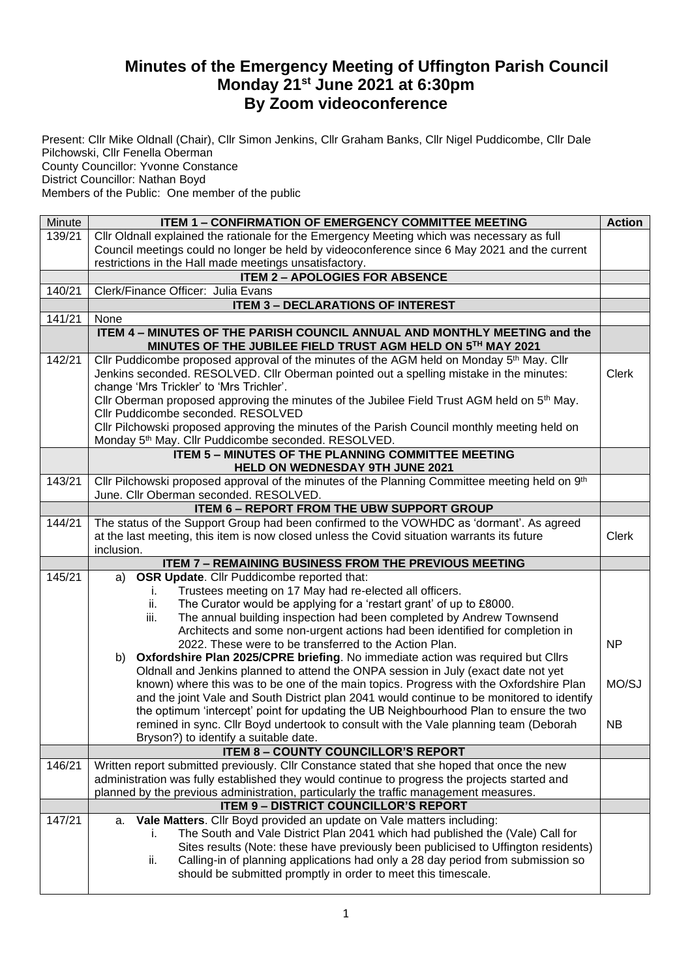## **Minutes of the Emergency Meeting of Uffington Parish Council Monday 21st June 2021 at 6:30pm By Zoom videoconference**

Present: Cllr Mike Oldnall (Chair), Cllr Simon Jenkins, Cllr Graham Banks, Cllr Nigel Puddicombe, Cllr Dale Pilchowski, Cllr Fenella Oberman County Councillor: Yvonne Constance District Councillor: Nathan Boyd Members of the Public: One member of the public

| Minute | <b>ITEM 1 - CONFIRMATION OF EMERGENCY COMMITTEE MEETING</b>                                                                                                | <b>Action</b> |  |  |  |
|--------|------------------------------------------------------------------------------------------------------------------------------------------------------------|---------------|--|--|--|
| 139/21 | CIIr Oldnall explained the rationale for the Emergency Meeting which was necessary as full                                                                 |               |  |  |  |
|        | Council meetings could no longer be held by videoconference since 6 May 2021 and the current                                                               |               |  |  |  |
|        | restrictions in the Hall made meetings unsatisfactory.                                                                                                     |               |  |  |  |
|        | <b>ITEM 2 - APOLOGIES FOR ABSENCE</b>                                                                                                                      |               |  |  |  |
| 140/21 | Clerk/Finance Officer: Julia Evans                                                                                                                         |               |  |  |  |
|        | <b>ITEM 3 - DECLARATIONS OF INTEREST</b>                                                                                                                   |               |  |  |  |
| 141/21 | None                                                                                                                                                       |               |  |  |  |
|        | ITEM 4 - MINUTES OF THE PARISH COUNCIL ANNUAL AND MONTHLY MEETING and the<br>MINUTES OF THE JUBILEE FIELD TRUST AGM HELD ON 5TH MAY 2021                   |               |  |  |  |
| 142/21 | Cllr Puddicombe proposed approval of the minutes of the AGM held on Monday 5 <sup>th</sup> May. Cllr                                                       |               |  |  |  |
|        | Jenkins seconded. RESOLVED. Cllr Oberman pointed out a spelling mistake in the minutes:                                                                    | <b>Clerk</b>  |  |  |  |
|        | change 'Mrs Trickler' to 'Mrs Trichler'.                                                                                                                   |               |  |  |  |
|        | Cllr Oberman proposed approving the minutes of the Jubilee Field Trust AGM held on 5th May.                                                                |               |  |  |  |
|        | Cllr Puddicombe seconded. RESOLVED                                                                                                                         |               |  |  |  |
|        | Cllr Pilchowski proposed approving the minutes of the Parish Council monthly meeting held on<br>Monday 5th May. Cllr Puddicombe seconded. RESOLVED.        |               |  |  |  |
|        | <b>ITEM 5 - MINUTES OF THE PLANNING COMMITTEE MEETING</b>                                                                                                  |               |  |  |  |
|        | HELD ON WEDNESDAY 9TH JUNE 2021                                                                                                                            |               |  |  |  |
| 143/21 | Cllr Pilchowski proposed approval of the minutes of the Planning Committee meeting held on 9th                                                             |               |  |  |  |
|        | June. Cllr Oberman seconded. RESOLVED.                                                                                                                     |               |  |  |  |
|        | <b>ITEM 6 - REPORT FROM THE UBW SUPPORT GROUP</b>                                                                                                          |               |  |  |  |
| 144/21 | The status of the Support Group had been confirmed to the VOWHDC as 'dormant'. As agreed                                                                   | <b>Clerk</b>  |  |  |  |
|        | at the last meeting, this item is now closed unless the Covid situation warrants its future<br>inclusion.                                                  |               |  |  |  |
|        | <b>ITEM 7 - REMAINING BUSINESS FROM THE PREVIOUS MEETING</b>                                                                                               |               |  |  |  |
| 145/21 | <b>OSR Update.</b> Cllr Puddicombe reported that:<br>a)                                                                                                    |               |  |  |  |
|        | Trustees meeting on 17 May had re-elected all officers.<br>Τ.                                                                                              |               |  |  |  |
|        |                                                                                                                                                            |               |  |  |  |
|        |                                                                                                                                                            |               |  |  |  |
|        | The Curator would be applying for a 'restart grant' of up to £8000.<br>ii.<br>iii.<br>The annual building inspection had been completed by Andrew Townsend |               |  |  |  |
|        | Architects and some non-urgent actions had been identified for completion in                                                                               |               |  |  |  |
|        | 2022. These were to be transferred to the Action Plan.                                                                                                     | <b>NP</b>     |  |  |  |
|        | b) Oxfordshire Plan 2025/CPRE briefing. No immediate action was required but Cllrs                                                                         |               |  |  |  |
|        | Oldnall and Jenkins planned to attend the ONPA session in July (exact date not yet                                                                         |               |  |  |  |
|        | known) where this was to be one of the main topics. Progress with the Oxfordshire Plan                                                                     | MO/SJ         |  |  |  |
|        | and the joint Vale and South District plan 2041 would continue to be monitored to identify                                                                 |               |  |  |  |
|        | the optimum 'intercept' point for updating the UB Neighbourhood Plan to ensure the two                                                                     |               |  |  |  |
|        | remined in sync. Cllr Boyd undertook to consult with the Vale planning team (Deborah                                                                       | <b>NB</b>     |  |  |  |
|        | Bryson?) to identify a suitable date.                                                                                                                      |               |  |  |  |
|        | <b>ITEM 8 - COUNTY COUNCILLOR'S REPORT</b>                                                                                                                 |               |  |  |  |
| 146/21 | Written report submitted previously. Cllr Constance stated that she hoped that once the new                                                                |               |  |  |  |
|        | administration was fully established they would continue to progress the projects started and                                                              |               |  |  |  |
|        | planned by the previous administration, particularly the traffic management measures.                                                                      |               |  |  |  |
| 147/21 | <b>ITEM 9 - DISTRICT COUNCILLOR'S REPORT</b><br>Vale Matters. Cllr Boyd provided an update on Vale matters including:<br>a.                                |               |  |  |  |
|        | The South and Vale District Plan 2041 which had published the (Vale) Call for<br>Ĺ.                                                                        |               |  |  |  |
|        | Sites results (Note: these have previously been publicised to Uffington residents)                                                                         |               |  |  |  |
|        | Calling-in of planning applications had only a 28 day period from submission so<br>ii.<br>should be submitted promptly in order to meet this timescale.    |               |  |  |  |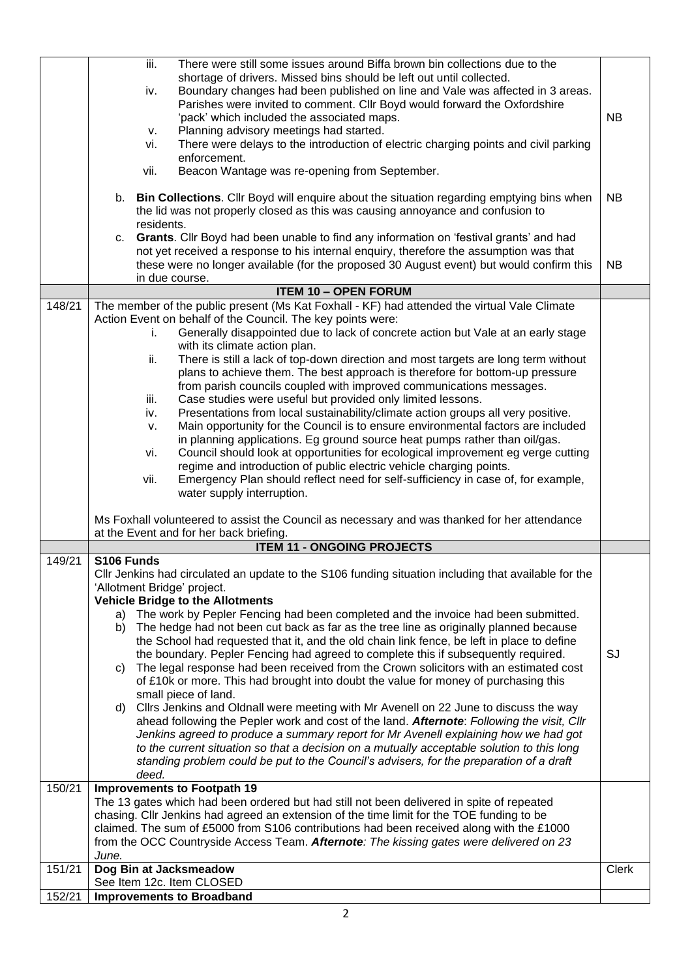|        | There were still some issues around Biffa brown bin collections due to the<br>iii.<br>shortage of drivers. Missed bins should be left out until collected.                                  |              |
|--------|---------------------------------------------------------------------------------------------------------------------------------------------------------------------------------------------|--------------|
|        | Boundary changes had been published on line and Vale was affected in 3 areas.<br>iv.                                                                                                        |              |
|        | Parishes were invited to comment. Cllr Boyd would forward the Oxfordshire<br>'pack' which included the associated maps.                                                                     | <b>NB</b>    |
|        | Planning advisory meetings had started.<br>v.                                                                                                                                               |              |
|        | There were delays to the introduction of electric charging points and civil parking<br>vi.<br>enforcement.                                                                                  |              |
|        | Beacon Wantage was re-opening from September.<br>vii.                                                                                                                                       |              |
|        | b. Bin Collections. Cllr Boyd will enquire about the situation regarding emptying bins when<br>the lid was not properly closed as this was causing annoyance and confusion to<br>residents. | <b>NB</b>    |
|        | c. Grants. Cllr Boyd had been unable to find any information on 'festival grants' and had                                                                                                   |              |
|        | not yet received a response to his internal enquiry, therefore the assumption was that                                                                                                      |              |
|        | these were no longer available (for the proposed 30 August event) but would confirm this<br>in due course.                                                                                  | <b>NB</b>    |
|        | <b>ITEM 10 - OPEN FORUM</b>                                                                                                                                                                 |              |
| 148/21 | The member of the public present (Ms Kat Foxhall - KF) had attended the virtual Vale Climate                                                                                                |              |
|        | Action Event on behalf of the Council. The key points were:<br>Generally disappointed due to lack of concrete action but Vale at an early stage<br>i.                                       |              |
|        | with its climate action plan.                                                                                                                                                               |              |
|        | There is still a lack of top-down direction and most targets are long term without<br>ii.                                                                                                   |              |
|        | plans to achieve them. The best approach is therefore for bottom-up pressure<br>from parish councils coupled with improved communications messages.                                         |              |
|        | Case studies were useful but provided only limited lessons.<br>iii.                                                                                                                         |              |
|        | Presentations from local sustainability/climate action groups all very positive.<br>iv.<br>Main opportunity for the Council is to ensure environmental factors are included                 |              |
|        | v.<br>in planning applications. Eg ground source heat pumps rather than oil/gas.                                                                                                            |              |
|        | Council should look at opportunities for ecological improvement eg verge cutting<br>vi.                                                                                                     |              |
|        | regime and introduction of public electric vehicle charging points.<br>Emergency Plan should reflect need for self-sufficiency in case of, for example,<br>vii.                             |              |
|        | water supply interruption.                                                                                                                                                                  |              |
|        |                                                                                                                                                                                             |              |
|        | Ms Foxhall volunteered to assist the Council as necessary and was thanked for her attendance<br>at the Event and for her back briefing.                                                     |              |
|        | <b>ITEM 11 - ONGOING PROJECTS</b>                                                                                                                                                           |              |
| 149/21 | S106 Funds                                                                                                                                                                                  |              |
|        | CIIr Jenkins had circulated an update to the S106 funding situation including that available for the<br>'Allotment Bridge' project.                                                         |              |
|        | <b>Vehicle Bridge to the Allotments</b>                                                                                                                                                     |              |
|        | The work by Pepler Fencing had been completed and the invoice had been submitted.<br>a)                                                                                                     |              |
|        | The hedge had not been cut back as far as the tree line as originally planned because<br>b)<br>the School had requested that it, and the old chain link fence, be left in place to define   |              |
|        | the boundary. Pepler Fencing had agreed to complete this if subsequently required.                                                                                                          | SJ           |
|        | The legal response had been received from the Crown solicitors with an estimated cost<br>C)                                                                                                 |              |
|        | of £10k or more. This had brought into doubt the value for money of purchasing this<br>small piece of land.                                                                                 |              |
|        | d) Clirs Jenkins and Oldnall were meeting with Mr Avenell on 22 June to discuss the way                                                                                                     |              |
|        | ahead following the Pepler work and cost of the land. Afternote: Following the visit, Cllr                                                                                                  |              |
|        | Jenkins agreed to produce a summary report for Mr Avenell explaining how we had got<br>to the current situation so that a decision on a mutually acceptable solution to this long           |              |
|        | standing problem could be put to the Council's advisers, for the preparation of a draft                                                                                                     |              |
| 150/21 | deed.<br><b>Improvements to Footpath 19</b>                                                                                                                                                 |              |
|        | The 13 gates which had been ordered but had still not been delivered in spite of repeated                                                                                                   |              |
|        | chasing. Cllr Jenkins had agreed an extension of the time limit for the TOE funding to be                                                                                                   |              |
|        | claimed. The sum of £5000 from S106 contributions had been received along with the £1000<br>from the OCC Countryside Access Team. Afternote: The kissing gates were delivered on 23         |              |
|        | June.                                                                                                                                                                                       |              |
| 151/21 | Dog Bin at Jacksmeadow                                                                                                                                                                      | <b>Clerk</b> |
| 152/21 | See Item 12c. Item CLOSED<br><b>Improvements to Broadband</b>                                                                                                                               |              |
|        |                                                                                                                                                                                             |              |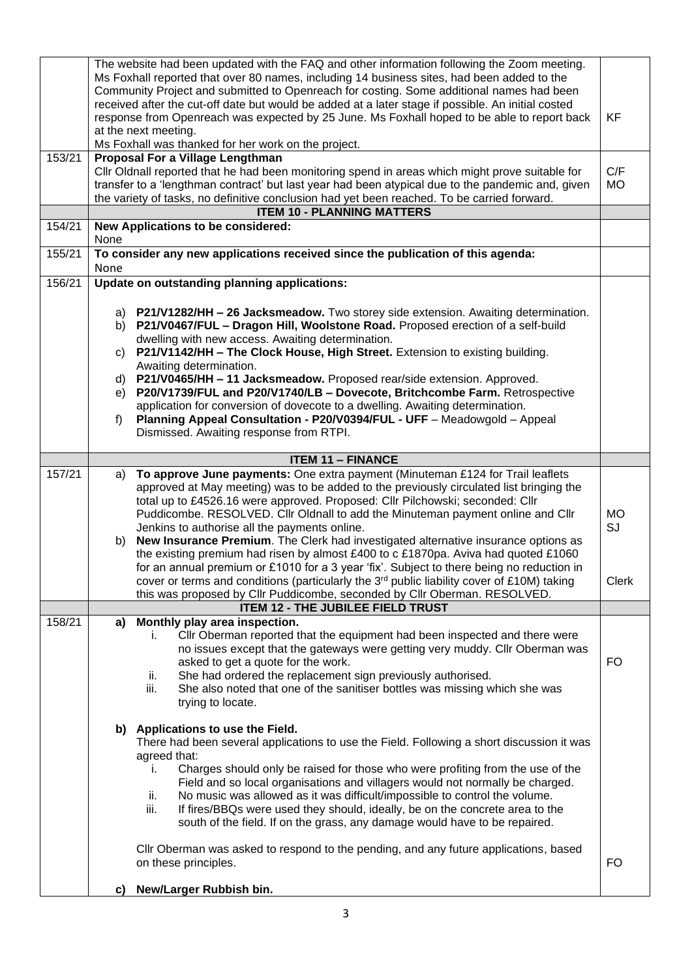|        | The website had been updated with the FAQ and other information following the Zoom meeting.<br>Ms Foxhall reported that over 80 names, including 14 business sites, had been added to the<br>Community Project and submitted to Openreach for costing. Some additional names had been<br>received after the cut-off date but would be added at a later stage if possible. An initial costed<br>response from Openreach was expected by 25 June. Ms Foxhall hoped to be able to report back<br>KF<br>at the next meeting.<br>Ms Foxhall was thanked for her work on the project. |                                                                                                                                                                                                                                                                                                                                                                                                                                                                                                                                                                                    |                 |
|--------|---------------------------------------------------------------------------------------------------------------------------------------------------------------------------------------------------------------------------------------------------------------------------------------------------------------------------------------------------------------------------------------------------------------------------------------------------------------------------------------------------------------------------------------------------------------------------------|------------------------------------------------------------------------------------------------------------------------------------------------------------------------------------------------------------------------------------------------------------------------------------------------------------------------------------------------------------------------------------------------------------------------------------------------------------------------------------------------------------------------------------------------------------------------------------|-----------------|
| 153/21 | Proposal For a Village Lengthman<br>Cllr Oldnall reported that he had been monitoring spend in areas which might prove suitable for<br>transfer to a 'lengthman contract' but last year had been atypical due to the pandemic and, given<br>the variety of tasks, no definitive conclusion had yet been reached. To be carried forward.                                                                                                                                                                                                                                         |                                                                                                                                                                                                                                                                                                                                                                                                                                                                                                                                                                                    |                 |
|        |                                                                                                                                                                                                                                                                                                                                                                                                                                                                                                                                                                                 | <b>ITEM 10 - PLANNING MATTERS</b>                                                                                                                                                                                                                                                                                                                                                                                                                                                                                                                                                  |                 |
| 154/21 | None                                                                                                                                                                                                                                                                                                                                                                                                                                                                                                                                                                            | New Applications to be considered:                                                                                                                                                                                                                                                                                                                                                                                                                                                                                                                                                 |                 |
| 155/21 | None                                                                                                                                                                                                                                                                                                                                                                                                                                                                                                                                                                            | To consider any new applications received since the publication of this agenda:                                                                                                                                                                                                                                                                                                                                                                                                                                                                                                    |                 |
| 156/21 |                                                                                                                                                                                                                                                                                                                                                                                                                                                                                                                                                                                 | Update on outstanding planning applications:                                                                                                                                                                                                                                                                                                                                                                                                                                                                                                                                       |                 |
|        | b)                                                                                                                                                                                                                                                                                                                                                                                                                                                                                                                                                                              | a) P21/V1282/HH - 26 Jacksmeadow. Two storey side extension. Awaiting determination.<br>P21/V0467/FUL - Dragon Hill, Woolstone Road. Proposed erection of a self-build<br>dwelling with new access. Awaiting determination.                                                                                                                                                                                                                                                                                                                                                        |                 |
|        | C)                                                                                                                                                                                                                                                                                                                                                                                                                                                                                                                                                                              | P21/V1142/HH - The Clock House, High Street. Extension to existing building.<br>Awaiting determination.                                                                                                                                                                                                                                                                                                                                                                                                                                                                            |                 |
|        | d)<br>e)                                                                                                                                                                                                                                                                                                                                                                                                                                                                                                                                                                        | P21/V0465/HH - 11 Jacksmeadow. Proposed rear/side extension. Approved.<br>P20/V1739/FUL and P20/V1740/LB - Dovecote, Britchcombe Farm. Retrospective                                                                                                                                                                                                                                                                                                                                                                                                                               |                 |
|        | f)                                                                                                                                                                                                                                                                                                                                                                                                                                                                                                                                                                              | application for conversion of dovecote to a dwelling. Awaiting determination.<br>Planning Appeal Consultation - P20/V0394/FUL - UFF - Meadowgold - Appeal<br>Dismissed. Awaiting response from RTPI.                                                                                                                                                                                                                                                                                                                                                                               |                 |
|        |                                                                                                                                                                                                                                                                                                                                                                                                                                                                                                                                                                                 | <b>ITEM 11 - FINANCE</b>                                                                                                                                                                                                                                                                                                                                                                                                                                                                                                                                                           |                 |
| 157/21 | a)<br>b)                                                                                                                                                                                                                                                                                                                                                                                                                                                                                                                                                                        | To approve June payments: One extra payment (Minuteman £124 for Trail leaflets<br>approved at May meeting) was to be added to the previously circulated list bringing the<br>total up to £4526.16 were approved. Proposed: Cllr Pilchowski; seconded: Cllr<br>Puddicombe. RESOLVED. Cllr Oldnall to add the Minuteman payment online and Cllr<br>Jenkins to authorise all the payments online.<br>New Insurance Premium. The Clerk had investigated alternative insurance options as                                                                                               | <b>MO</b><br>SJ |
|        |                                                                                                                                                                                                                                                                                                                                                                                                                                                                                                                                                                                 | the existing premium had risen by almost £400 to c £1870pa. Aviva had quoted £1060<br>for an annual premium or £1010 for a 3 year 'fix'. Subject to there being no reduction in<br>cover or terms and conditions (particularly the 3 <sup>rd</sup> public liability cover of £10M) taking<br>this was proposed by Cllr Puddicombe, seconded by Cllr Oberman. RESOLVED.                                                                                                                                                                                                             | <b>Clerk</b>    |
|        |                                                                                                                                                                                                                                                                                                                                                                                                                                                                                                                                                                                 | <b>ITEM 12 - THE JUBILEE FIELD TRUST</b>                                                                                                                                                                                                                                                                                                                                                                                                                                                                                                                                           |                 |
| 158/21 | a)                                                                                                                                                                                                                                                                                                                                                                                                                                                                                                                                                                              | Monthly play area inspection.<br>Cllr Oberman reported that the equipment had been inspected and there were<br>Ĺ.<br>no issues except that the gateways were getting very muddy. Cllr Oberman was<br>asked to get a quote for the work.<br>She had ordered the replacement sign previously authorised.<br>ii.<br>iii.<br>She also noted that one of the sanitiser bottles was missing which she was<br>trying to locate.                                                                                                                                                           | FO              |
|        |                                                                                                                                                                                                                                                                                                                                                                                                                                                                                                                                                                                 | b) Applications to use the Field.<br>There had been several applications to use the Field. Following a short discussion it was<br>agreed that:<br>Charges should only be raised for those who were profiting from the use of the<br>Ĺ.<br>Field and so local organisations and villagers would not normally be charged.<br>No music was allowed as it was difficult/impossible to control the volume.<br>II.<br>iii.<br>If fires/BBQs were used they should, ideally, be on the concrete area to the<br>south of the field. If on the grass, any damage would have to be repaired. |                 |
|        |                                                                                                                                                                                                                                                                                                                                                                                                                                                                                                                                                                                 | CIIr Oberman was asked to respond to the pending, and any future applications, based<br>on these principles.                                                                                                                                                                                                                                                                                                                                                                                                                                                                       | FO              |
|        | C)                                                                                                                                                                                                                                                                                                                                                                                                                                                                                                                                                                              | New/Larger Rubbish bin.                                                                                                                                                                                                                                                                                                                                                                                                                                                                                                                                                            |                 |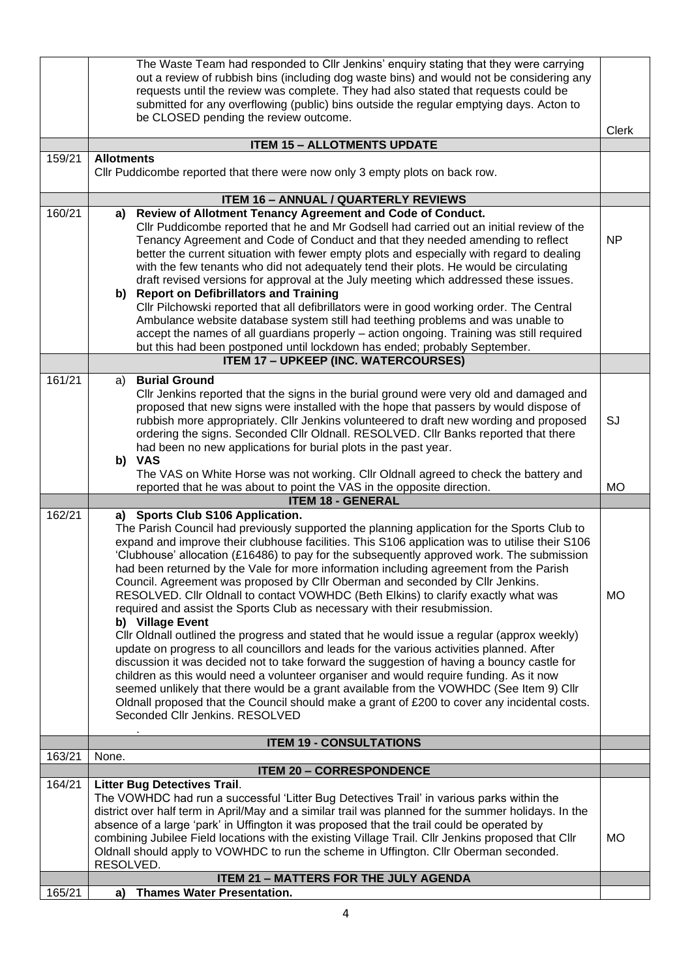|        | The Waste Team had responded to Cllr Jenkins' enquiry stating that they were carrying                                                                               |              |  |  |  |
|--------|---------------------------------------------------------------------------------------------------------------------------------------------------------------------|--------------|--|--|--|
|        | out a review of rubbish bins (including dog waste bins) and would not be considering any                                                                            |              |  |  |  |
|        | requests until the review was complete. They had also stated that requests could be                                                                                 |              |  |  |  |
|        | submitted for any overflowing (public) bins outside the regular emptying days. Acton to                                                                             |              |  |  |  |
|        | be CLOSED pending the review outcome.                                                                                                                               |              |  |  |  |
|        |                                                                                                                                                                     | <b>Clerk</b> |  |  |  |
|        | <b>ITEM 15 - ALLOTMENTS UPDATE</b>                                                                                                                                  |              |  |  |  |
| 159/21 | <b>Allotments</b><br>Cllr Puddicombe reported that there were now only 3 empty plots on back row.                                                                   |              |  |  |  |
|        | <b>ITEM 16 - ANNUAL / QUARTERLY REVIEWS</b>                                                                                                                         |              |  |  |  |
| 160/21 | Review of Allotment Tenancy Agreement and Code of Conduct.<br>a)                                                                                                    |              |  |  |  |
|        | Cllr Puddicombe reported that he and Mr Godsell had carried out an initial review of the                                                                            |              |  |  |  |
|        | Tenancy Agreement and Code of Conduct and that they needed amending to reflect                                                                                      | <b>NP</b>    |  |  |  |
|        | better the current situation with fewer empty plots and especially with regard to dealing                                                                           |              |  |  |  |
|        | with the few tenants who did not adequately tend their plots. He would be circulating                                                                               |              |  |  |  |
|        | draft revised versions for approval at the July meeting which addressed these issues.<br>b) Report on Defibrillators and Training                                   |              |  |  |  |
|        | CIIr Pilchowski reported that all defibrillators were in good working order. The Central                                                                            |              |  |  |  |
|        | Ambulance website database system still had teething problems and was unable to                                                                                     |              |  |  |  |
|        | accept the names of all guardians properly - action ongoing. Training was still required                                                                            |              |  |  |  |
|        | but this had been postponed until lockdown has ended; probably September.                                                                                           |              |  |  |  |
|        | <b>ITEM 17 - UPKEEP (INC. WATERCOURSES)</b>                                                                                                                         |              |  |  |  |
| 161/21 | <b>Burial Ground</b><br>a)                                                                                                                                          |              |  |  |  |
|        | CIIr Jenkins reported that the signs in the burial ground were very old and damaged and                                                                             |              |  |  |  |
|        | proposed that new signs were installed with the hope that passers by would dispose of                                                                               |              |  |  |  |
|        | rubbish more appropriately. Cllr Jenkins volunteered to draft new wording and proposed                                                                              | SJ           |  |  |  |
|        | ordering the signs. Seconded Cllr Oldnall. RESOLVED. Cllr Banks reported that there                                                                                 |              |  |  |  |
|        | had been no new applications for burial plots in the past year.                                                                                                     |              |  |  |  |
|        | b) VAS                                                                                                                                                              |              |  |  |  |
|        | The VAS on White Horse was not working. Cllr Oldnall agreed to check the battery and                                                                                |              |  |  |  |
|        | reported that he was about to point the VAS in the opposite direction.                                                                                              | <b>MO</b>    |  |  |  |
|        | <b>ITEM 18 - GENERAL</b>                                                                                                                                            |              |  |  |  |
| 162/21 | a) Sports Club S106 Application.                                                                                                                                    |              |  |  |  |
|        | The Parish Council had previously supported the planning application for the Sports Club to                                                                         |              |  |  |  |
|        | expand and improve their clubhouse facilities. This S106 application was to utilise their S106                                                                      |              |  |  |  |
|        | 'Clubhouse' allocation (£16486) to pay for the subsequently approved work. The submission                                                                           |              |  |  |  |
|        | had been returned by the Vale for more information including agreement from the Parish                                                                              |              |  |  |  |
|        | Council. Agreement was proposed by Cllr Oberman and seconded by Cllr Jenkins.<br>RESOLVED. Cllr Oldnall to contact VOWHDC (Beth Elkins) to clarify exactly what was | <b>MO</b>    |  |  |  |
|        | required and assist the Sports Club as necessary with their resubmission.                                                                                           |              |  |  |  |
|        | b) Village Event                                                                                                                                                    |              |  |  |  |
|        | CIIr Oldnall outlined the progress and stated that he would issue a regular (approx weekly)                                                                         |              |  |  |  |
|        | update on progress to all councillors and leads for the various activities planned. After                                                                           |              |  |  |  |
|        | discussion it was decided not to take forward the suggestion of having a bouncy castle for                                                                          |              |  |  |  |
|        | children as this would need a volunteer organiser and would require funding. As it now                                                                              |              |  |  |  |
|        | seemed unlikely that there would be a grant available from the VOWHDC (See Item 9) Cllr                                                                             |              |  |  |  |
|        | Oldnall proposed that the Council should make a grant of £200 to cover any incidental costs.                                                                        |              |  |  |  |
|        | Seconded Cllr Jenkins. RESOLVED                                                                                                                                     |              |  |  |  |
|        |                                                                                                                                                                     |              |  |  |  |
| 163/21 | <b>ITEM 19 - CONSULTATIONS</b><br>None.                                                                                                                             |              |  |  |  |
|        | <b>ITEM 20 - CORRESPONDENCE</b>                                                                                                                                     |              |  |  |  |
| 164/21 | <b>Litter Bug Detectives Trail.</b>                                                                                                                                 |              |  |  |  |
|        | The VOWHDC had run a successful 'Litter Bug Detectives Trail' in various parks within the                                                                           |              |  |  |  |
|        | district over half term in April/May and a similar trail was planned for the summer holidays. In the                                                                |              |  |  |  |
|        | absence of a large 'park' in Uffington it was proposed that the trail could be operated by                                                                          |              |  |  |  |
|        | combining Jubilee Field locations with the existing Village Trail. Cllr Jenkins proposed that Cllr                                                                  | <b>MO</b>    |  |  |  |
|        | Oldnall should apply to VOWHDC to run the scheme in Uffington. Cllr Oberman seconded.                                                                               |              |  |  |  |
|        | RESOLVED.                                                                                                                                                           |              |  |  |  |
|        | <b>ITEM 21 - MATTERS FOR THE JULY AGENDA</b>                                                                                                                        |              |  |  |  |
| 165/21 | <b>Thames Water Presentation.</b><br>a)                                                                                                                             |              |  |  |  |